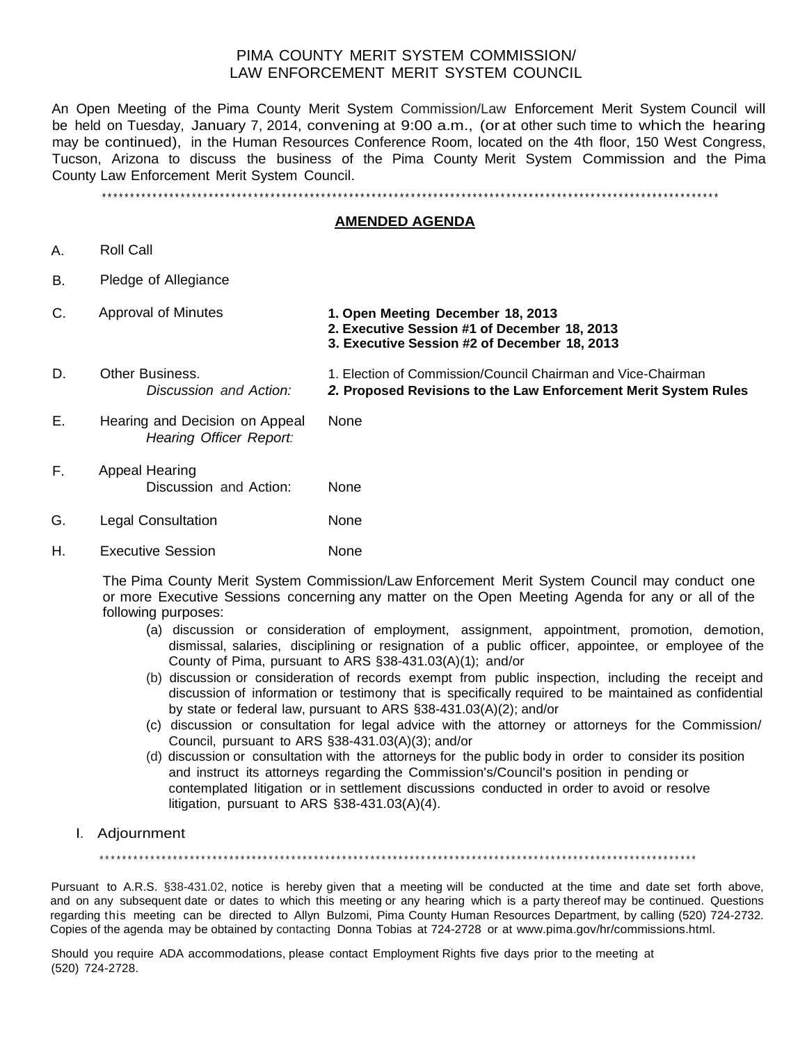## PIMA COUNTY MERIT SYSTEM COMMISSION/ LAW ENFORCEMENT MERIT SYSTEM COUNCIL

An Open Meeting of the Pima County Merit System Commission/Law Enforcement Merit System Council will be held on Tuesday, January 7, 2014, convening at 9:00 a.m., (or at other such time to which the hearing may be continued), in the Human Resources Conference Room, located on the 4th floor, 150 West Congress, Tucson, Arizona to discuss the business of the Pima County Merit System Commission and the Pima County Law Enforcement Merit System Council.

\*\*\*\*\*\*\*\*\*\*\*\*\*\*\*\*\*\*\*\*\*\*\*\*\*\*\*\*\*\*\*\*\*\*\*\*\*\*\*\*\*\*\*\*\*\*\*\*\*\*\*\*\*\*\*\*\*\*\*\*\*\*\*\*\*\*\*\*\*\*\*\*\*\*\*\*\*\*\*\*\*\*\*\*\*\*\*\*\*\*\*\*\*\*\*\*\*\*\*\*\*\*\*\*\*\*\*\*\*\*

## **AMENDED AGENDA**

- A. Roll Call
- B. Pledge of Allegiance
- C. Approval of Minutes **1. Open Meeting December 18, 2013 2. Executive Session #1 of December 18, 2013 3. Executive Session #2 of December 18, 2013** D. Other Business. 1. Election of Commission/Council Chairman and Vice-Chairman *Discussion and Action: 2.* **Proposed Revisions to the Law Enforcement Merit System Rules** E. Hearing and Decision on Appeal None *Hearing Officer Report:* F. Appeal Hearing Discussion and Action: None G. Legal Consultation None
- H. Executive Session **None**

The Pima County Merit System Commission/Law Enforcement Merit System Council may conduct one or more Executive Sessions concerning any matter on the Open Meeting Agenda for any or all of the following purposes:

- (a) discussion or consideration of employment, assignment, appointment, promotion, demotion, dismissal, salaries, disciplining or resignation of a public officer, appointee, or employee of the County of Pima, pursuant to ARS §38-431.03(A)(1); and/or
- (b) discussion or consideration of records exempt from public inspection, including the receipt and discussion of information or testimony that is specifically required to be maintained as confidential by state or federal law, pursuant to ARS §38-431.03(A)(2); and/or
- (c) discussion or consultation for legal advice with the attorney or attorneys for the Commission/ Council, pursuant to ARS §38-431.03(A)(3); and/or
- (d) discussion or consultation with the attorneys for the public body in order to consider its position and instruct its attorneys regarding the Commission's/Council's position in pending or contemplated litigation or in settlement discussions conducted in order to avoid or resolve litigation, pursuant to ARS §38-431.03(A)(4).
- I. Adjournment

\*\*\*\*\*\*\*\*\*\*\*\*\*\*\*\*\*\*\*\*\*\*\*\*\*\*\*\*\*\*\*\*\*\*\*\*\*\*\*\*\*\*\*\*\*\*\*\*\*\*\*\*\*\*\*\*\*\*\*\*\*\*\*\*\*\*\*\*\*\*\*\*\*\*\*\*\*\*\*\*\*\*\*\*\*\*\*\*\*\*\*\*\*\*\*\*\*\*\*\*\*\*\*\*\*\*

Pursuant to A.R.S. §38-431.02, notice is hereby given that a meeting will be conducted at the time and date set forth above, and on any subsequent date or dates to which this meeting or any hearing which is a party thereof may be continued. Questions regarding this meeting can be directed to Allyn Bulzomi, Pima County Human Resources Department, by calling (520) 724-2732. Copies of the agenda may be obtained by contacting Donna Tobias at 724-2728 or at [www.pima.gov/hr/commissions.html.](http://www.pima.gov/hr/commissions.html)

Should you require ADA accommodations, please contact Employment Rights five days prior to the meeting at (520) 724-2728.